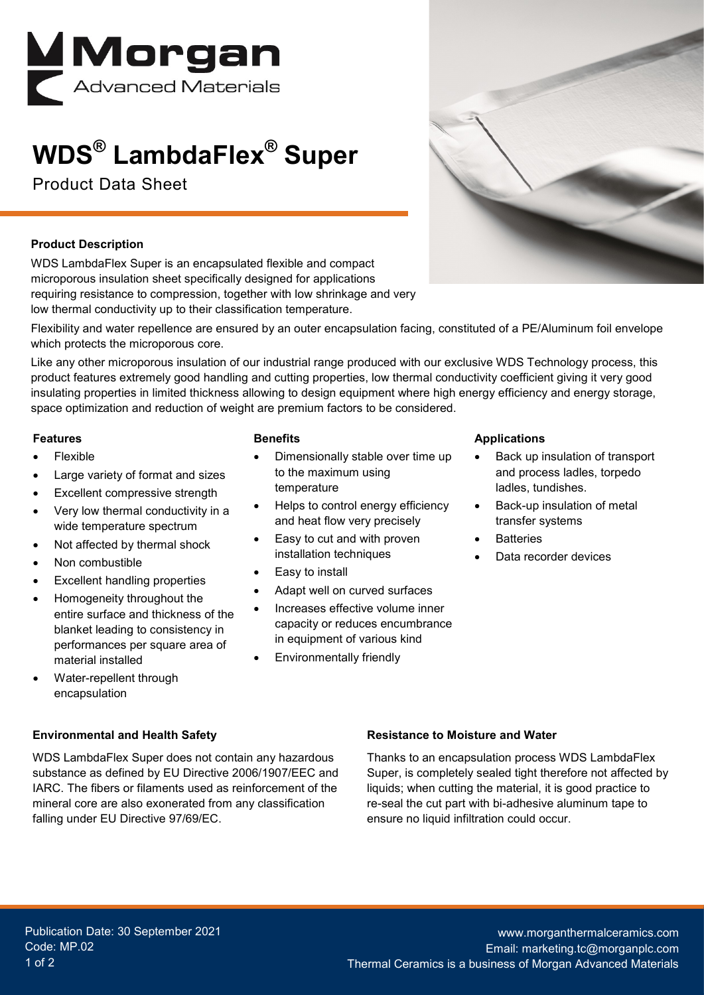

# **WDS® LambdaFlex® Super**

Product Data Sheet



#### **Product Description**

WDS LambdaFlex Super is an encapsulated flexible and compact microporous insulation sheet specifically designed for applications requiring resistance to compression, together with low shrinkage and very low thermal conductivity up to their classification temperature.

Flexibility and water repellence are ensured by an outer encapsulation facing, constituted of a PE/Aluminum foil envelope which protects the microporous core.

Like any other microporous insulation of our industrial range produced with our exclusive WDS Technology process, this product features extremely good handling and cutting properties, low thermal conductivity coefficient giving it very good insulating properties in limited thickness allowing to design equipment where high energy efficiency and energy storage, space optimization and reduction of weight are premium factors to be considered.

#### **Features**

- Flexible
- Large variety of format and sizes
- Excellent compressive strength
- Very low thermal conductivity in a wide temperature spectrum
- Not affected by thermal shock
- Non combustible
- **Excellent handling properties**
- Homogeneity throughout the entire surface and thickness of the blanket leading to consistency in performances per square area of material installed
- Water-repellent through encapsulation

#### **Environmental and Health Safety**

WDS LambdaFlex Super does not contain any hazardous substance as defined by EU Directive 2006/1907/EEC and IARC. The fibers or filaments used as reinforcement of the mineral core are also exonerated from any classification falling under EU Directive 97/69/EC.

#### **Benefits**

- Dimensionally stable over time up to the maximum using temperature
- Helps to control energy efficiency and heat flow very precisely
- Easy to cut and with proven installation techniques
- Easy to install
- Adapt well on curved surfaces
- Increases effective volume inner capacity or reduces encumbrance in equipment of various kind
- Environmentally friendly

#### **Applications**

- Back up insulation of transport and process ladles, torpedo ladles, tundishes.
- Back-up insulation of metal transfer systems
- **Batteries**
- Data recorder devices

#### **Resistance to Moisture and Water**

Thanks to an encapsulation process WDS LambdaFlex Super, is completely sealed tight therefore not affected by liquids; when cutting the material, it is good practice to re-seal the cut part with bi-adhesive aluminum tape to ensure no liquid infiltration could occur.